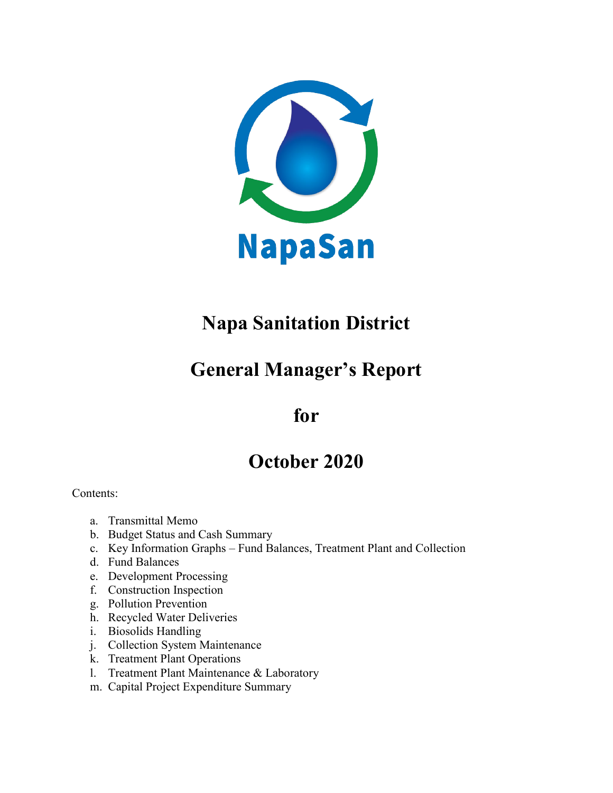

# **Napa Sanitation District**

# **General Manager's Report**

# **for**

# **October 2020**

Contents:

- a. Transmittal Memo
- b. Budget Status and Cash Summary
- c. Key Information Graphs Fund Balances, Treatment Plant and Collection
- d. Fund Balances
- e. Development Processing
- f. Construction Inspection
- g. Pollution Prevention
- h. Recycled Water Deliveries
- i. Biosolids Handling
- j. Collection System Maintenance
- k. Treatment Plant Operations
- l. Treatment Plant Maintenance & Laboratory
- m. Capital Project Expenditure Summary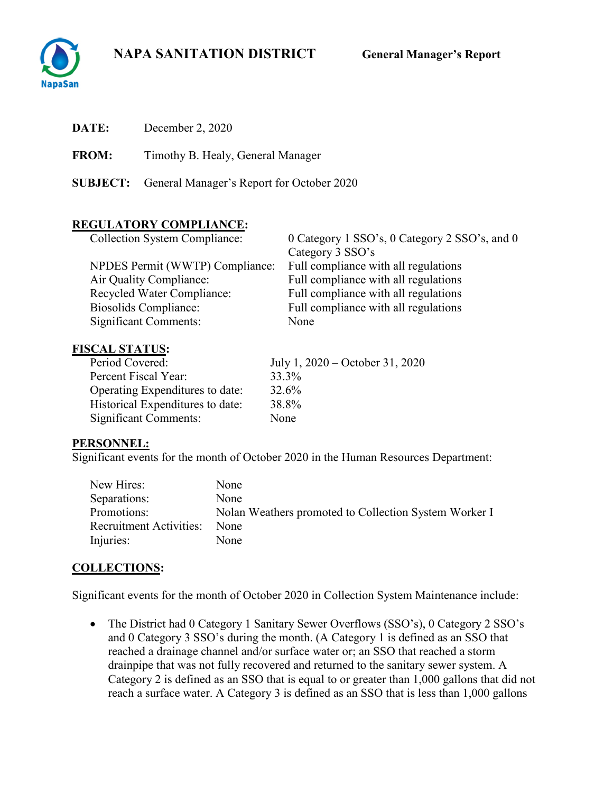# **NAPA SANITATION DISTRICT General Manager's Report**



| DATE:        | December 2, 2020                                          |
|--------------|-----------------------------------------------------------|
| <b>FROM:</b> | Timothy B. Healy, General Manager                         |
|              | <b>SUBJECT:</b> General Manager's Report for October 2020 |
|              | <b>REGULATORY COMPLIANCE:</b>                             |

| <b>Collection System Compliance:</b> | 0 Category 1 SSO's, 0 Category 2 SSO's, and 0 |
|--------------------------------------|-----------------------------------------------|
|                                      | Category 3 SSO's                              |
| NPDES Permit (WWTP) Compliance:      | Full compliance with all regulations          |
| Air Quality Compliance:              | Full compliance with all regulations          |
| Recycled Water Compliance:           | Full compliance with all regulations          |
| Biosolids Compliance:                | Full compliance with all regulations          |
| <b>Significant Comments:</b>         | None                                          |

### **FISCAL STATUS:**

| Period Covered:                  | July 1, $2020 -$ October 31, 2020 |
|----------------------------------|-----------------------------------|
| Percent Fiscal Year:             | 33.3%                             |
| Operating Expenditures to date:  | 32.6%                             |
| Historical Expenditures to date: | 38.8%                             |
| <b>Significant Comments:</b>     | None                              |

### **PERSONNEL:**

Significant events for the month of October 2020 in the Human Resources Department:

| New Hires:              | None                                                  |
|-------------------------|-------------------------------------------------------|
| Separations:            | None                                                  |
| Promotions:             | Nolan Weathers promoted to Collection System Worker I |
| Recruitment Activities: | <b>None</b>                                           |
| Injuries:               | None                                                  |

# **COLLECTIONS:**

Significant events for the month of October 2020 in Collection System Maintenance include:

• The District had 0 Category 1 Sanitary Sewer Overflows (SSO's), 0 Category 2 SSO's and 0 Category 3 SSO's during the month. (A Category 1 is defined as an SSO that reached a drainage channel and/or surface water or; an SSO that reached a storm drainpipe that was not fully recovered and returned to the sanitary sewer system. A Category 2 is defined as an SSO that is equal to or greater than 1,000 gallons that did not reach a surface water. A Category 3 is defined as an SSO that is less than 1,000 gallons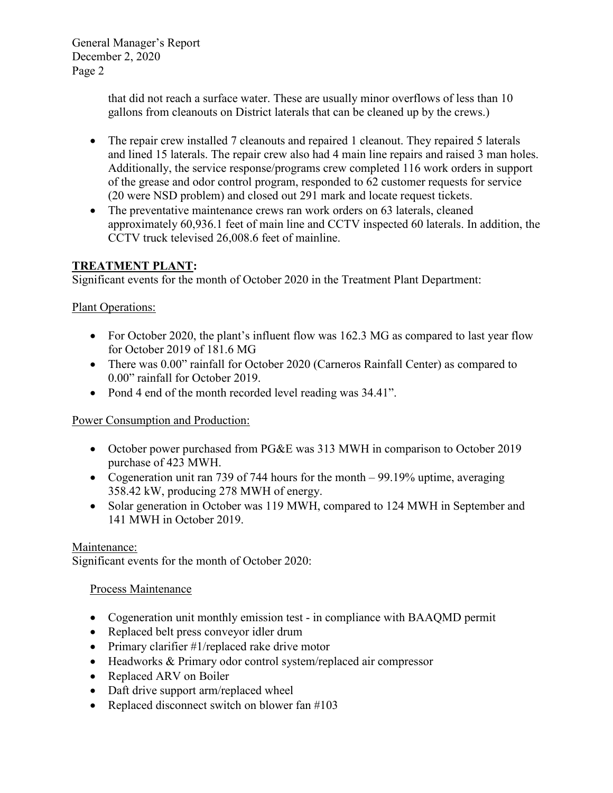> that did not reach a surface water. These are usually minor overflows of less than 10 gallons from cleanouts on District laterals that can be cleaned up by the crews.)

- The repair crew installed 7 cleanouts and repaired 1 cleanout. They repaired 5 laterals and lined 15 laterals. The repair crew also had 4 main line repairs and raised 3 man holes. Additionally, the service response/programs crew completed 116 work orders in support of the grease and odor control program, responded to 62 customer requests for service (20 were NSD problem) and closed out 291 mark and locate request tickets.
- The preventative maintenance crews ran work orders on 63 laterals, cleaned approximately 60,936.1 feet of main line and CCTV inspected 60 laterals. In addition, the CCTV truck televised 26,008.6 feet of mainline.

## **TREATMENT PLANT:**

Significant events for the month of October 2020 in the Treatment Plant Department:

## Plant Operations:

- For October 2020, the plant's influent flow was 162.3 MG as compared to last year flow for October 2019 of 181.6 MG
- There was 0.00" rainfall for October 2020 (Carneros Rainfall Center) as compared to 0.00" rainfall for October 2019.
- Pond 4 end of the month recorded level reading was  $34.41$ ".

# Power Consumption and Production:

- October power purchased from PG&E was 313 MWH in comparison to October 2019 purchase of 423 MWH.
- Cogeneration unit ran 739 of 744 hours for the month 99.19% uptime, averaging 358.42 kW, producing 278 MWH of energy.
- Solar generation in October was 119 MWH, compared to 124 MWH in September and 141 MWH in October 2019.

### Maintenance:

Significant events for the month of October 2020:

### Process Maintenance

- Cogeneration unit monthly emission test in compliance with BAAQMD permit
- Replaced belt press conveyor idler drum
- Primary clarifier #1/replaced rake drive motor
- Headworks & Primary odor control system/replaced air compressor
- Replaced ARV on Boiler
- Daft drive support arm/replaced wheel
- Replaced disconnect switch on blower fan #103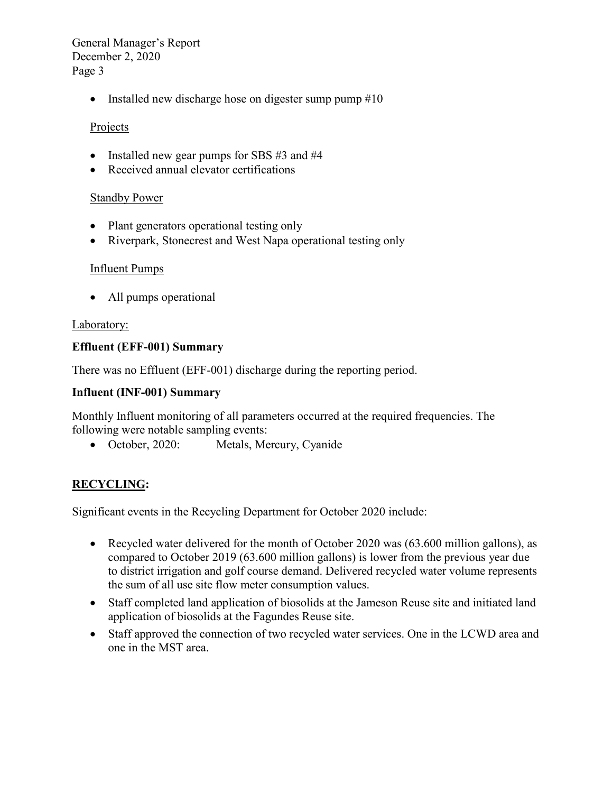• Installed new discharge hose on digester sump pump #10

### Projects

- Installed new gear pumps for SBS #3 and #4
- Received annual elevator certifications

#### Standby Power

- Plant generators operational testing only
- Riverpark, Stonecrest and West Napa operational testing only

#### Influent Pumps

• All pumps operational

#### Laboratory:

#### **Effluent (EFF-001) Summary**

There was no Effluent (EFF-001) discharge during the reporting period.

#### **Influent (INF-001) Summary**

Monthly Influent monitoring of all parameters occurred at the required frequencies. The following were notable sampling events:

• October, 2020: Metals, Mercury, Cyanide

# **RECYCLING:**

Significant events in the Recycling Department for October 2020 include:

- Recycled water delivered for the month of October 2020 was (63.600 million gallons), as compared to October 2019 (63.600 million gallons) is lower from the previous year due to district irrigation and golf course demand. Delivered recycled water volume represents the sum of all use site flow meter consumption values.
- Staff completed land application of biosolids at the Jameson Reuse site and initiated land application of biosolids at the Fagundes Reuse site.
- Staff approved the connection of two recycled water services. One in the LCWD area and one in the MST area.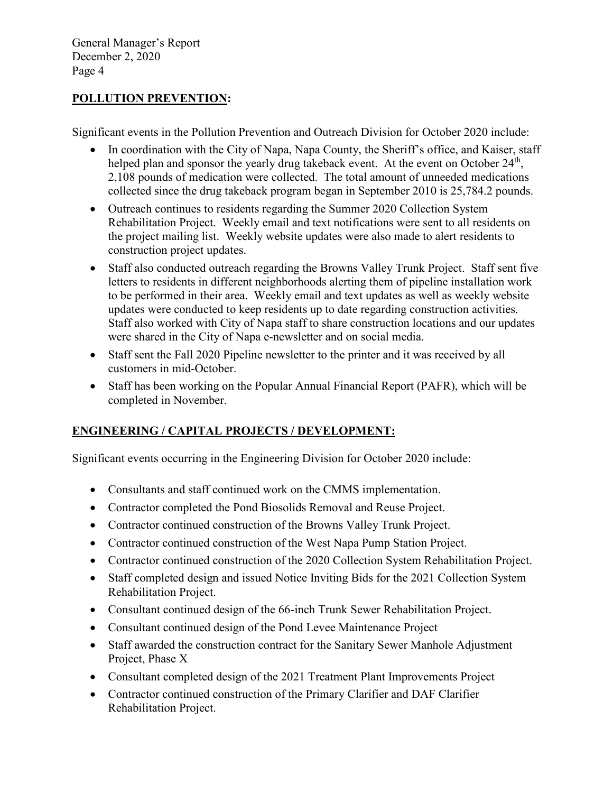#### **POLLUTION PREVENTION:**

Significant events in the Pollution Prevention and Outreach Division for October 2020 include:

- In coordination with the City of Napa, Napa County, the Sheriff's office, and Kaiser, staff helped plan and sponsor the yearly drug takeback event. At the event on October 24<sup>th</sup>, 2,108 pounds of medication were collected. The total amount of unneeded medications collected since the drug takeback program began in September 2010 is 25,784.2 pounds.
- Outreach continues to residents regarding the Summer 2020 Collection System Rehabilitation Project. Weekly email and text notifications were sent to all residents on the project mailing list. Weekly website updates were also made to alert residents to construction project updates.
- Staff also conducted outreach regarding the Browns Valley Trunk Project. Staff sent five letters to residents in different neighborhoods alerting them of pipeline installation work to be performed in their area. Weekly email and text updates as well as weekly website updates were conducted to keep residents up to date regarding construction activities. Staff also worked with City of Napa staff to share construction locations and our updates were shared in the City of Napa e-newsletter and on social media.
- Staff sent the Fall 2020 Pipeline newsletter to the printer and it was received by all customers in mid-October.
- Staff has been working on the Popular Annual Financial Report (PAFR), which will be completed in November.

# **ENGINEERING / CAPITAL PROJECTS / DEVELOPMENT:**

Significant events occurring in the Engineering Division for October 2020 include:

- Consultants and staff continued work on the CMMS implementation.
- Contractor completed the Pond Biosolids Removal and Reuse Project.
- Contractor continued construction of the Browns Valley Trunk Project.
- Contractor continued construction of the West Napa Pump Station Project.
- Contractor continued construction of the 2020 Collection System Rehabilitation Project.
- Staff completed design and issued Notice Inviting Bids for the 2021 Collection System Rehabilitation Project.
- Consultant continued design of the 66-inch Trunk Sewer Rehabilitation Project.
- Consultant continued design of the Pond Levee Maintenance Project
- Staff awarded the construction contract for the Sanitary Sewer Manhole Adjustment Project, Phase X
- Consultant completed design of the 2021 Treatment Plant Improvements Project
- Contractor continued construction of the Primary Clarifier and DAF Clarifier Rehabilitation Project.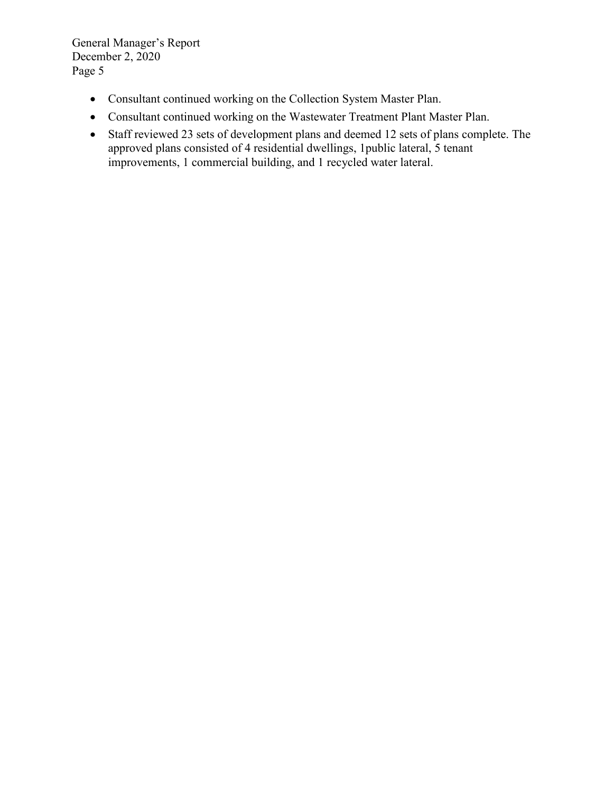- Consultant continued working on the Collection System Master Plan.
- Consultant continued working on the Wastewater Treatment Plant Master Plan.
- Staff reviewed 23 sets of development plans and deemed 12 sets of plans complete. The approved plans consisted of 4 residential dwellings, 1public lateral, 5 tenant improvements, 1 commercial building, and 1 recycled water lateral.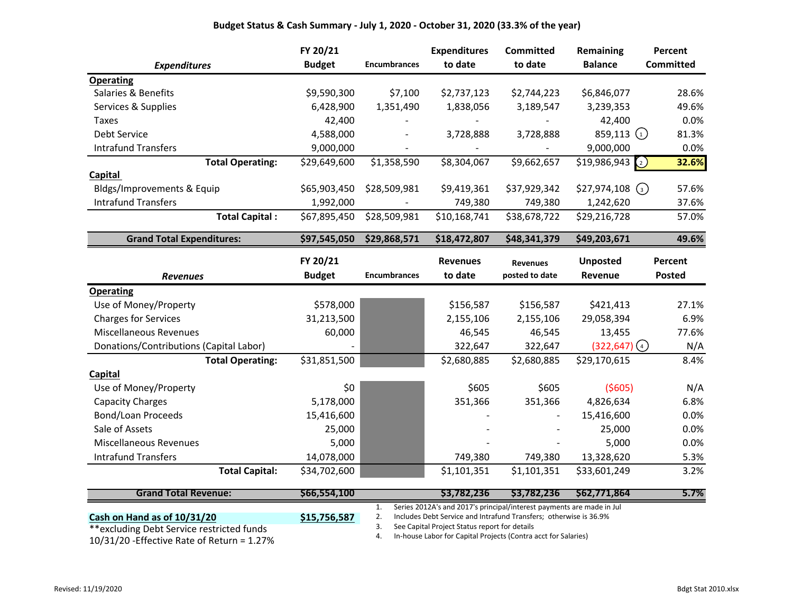#### **Budget Status & Cash Summary - July 1, 2020 - October 31, 2020 (33.3% of the year)**

|                                         | FY 20/21      |                     | <b>Expenditures</b> | <b>Committed</b> | <b>Remaining</b>               | Percent          |
|-----------------------------------------|---------------|---------------------|---------------------|------------------|--------------------------------|------------------|
| <b>Expenditures</b>                     | <b>Budget</b> | <b>Encumbrances</b> | to date             | to date          | <b>Balance</b>                 | <b>Committed</b> |
| <b>Operating</b>                        |               |                     |                     |                  |                                |                  |
| Salaries & Benefits                     | \$9,590,300   | \$7,100             | \$2,737,123         | \$2,744,223      | \$6,846,077                    | 28.6%            |
| Services & Supplies                     | 6,428,900     | 1,351,490           | 1,838,056           | 3,189,547        | 3,239,353                      | 49.6%            |
| <b>Taxes</b>                            | 42,400        |                     |                     |                  | 42,400                         | 0.0%             |
| <b>Debt Service</b>                     | 4,588,000     |                     | 3,728,888           | 3,728,888        | 859,113 $(1)$                  | 81.3%            |
| <b>Intrafund Transfers</b>              | 9,000,000     |                     |                     |                  | 9,000,000                      | 0.0%             |
| <b>Total Operating:</b>                 | \$29,649,600  | \$1,358,590         | \$8,304,067         | \$9,662,657      | \$19,986,943<br>$\binom{2}{2}$ | 32.6%            |
| <b>Capital</b>                          |               |                     |                     |                  |                                |                  |
| Bldgs/Improvements & Equip              | \$65,903,450  | \$28,509,981        | \$9,419,361         | \$37,929,342     | \$27,974,108<br>$\left($ 3)    | 57.6%            |
| <b>Intrafund Transfers</b>              | 1,992,000     |                     | 749,380             | 749,380          | 1,242,620                      | 37.6%            |
| <b>Total Capital:</b>                   | \$67,895,450  | \$28,509,981        | \$10,168,741        | \$38,678,722     | \$29,216,728                   | 57.0%            |
| <b>Grand Total Expenditures:</b>        | \$97,545,050  | \$29,868,571        | \$18,472,807        | \$48,341,379     | \$49,203,671                   | 49.6%            |
|                                         | FY 20/21      |                     | <b>Revenues</b>     | <b>Revenues</b>  | <b>Unposted</b>                | Percent          |
|                                         |               |                     |                     |                  |                                |                  |
| <b>Revenues</b>                         | <b>Budget</b> | <b>Encumbrances</b> | to date             | posted to date   | Revenue                        | <b>Posted</b>    |
| <b>Operating</b>                        |               |                     |                     |                  |                                |                  |
| Use of Money/Property                   | \$578,000     |                     | \$156,587           | \$156,587        | \$421,413                      | 27.1%            |
| <b>Charges for Services</b>             | 31,213,500    |                     | 2,155,106           | 2,155,106        | 29,058,394                     | 6.9%             |
| <b>Miscellaneous Revenues</b>           | 60,000        |                     | 46,545              | 46,545           | 13,455                         | 77.6%            |
| Donations/Contributions (Capital Labor) |               |                     | 322,647             | 322,647          | $(322, 647)$ (4)               | N/A              |
| <b>Total Operating:</b>                 | \$31,851,500  |                     | \$2,680,885         | \$2,680,885      | \$29,170,615                   | 8.4%             |
| Capital                                 |               |                     |                     |                  |                                |                  |
| Use of Money/Property                   | \$0           |                     | \$605               | \$605            | (5605)                         | N/A              |
| Capacity Charges                        | 5,178,000     |                     | 351,366             | 351,366          | 4,826,634                      | 6.8%             |
| Bond/Loan Proceeds                      | 15,416,600    |                     |                     |                  | 15,416,600                     | 0.0%             |
| Sale of Assets                          | 25,000        |                     |                     |                  | 25,000                         | 0.0%             |
| <b>Miscellaneous Revenues</b>           | 5,000         |                     |                     |                  | 5,000                          | 0.0%             |
| <b>Intrafund Transfers</b>              | 14,078,000    |                     | 749,380             | 749,380          | 13,328,620                     | 5.3%             |

| <b>Grand Total Revenue:</b>                  | S66.554.100  | S3.782.236                                                            | S3.782.236 | \$62,771,864 | $5.7\%$ |
|----------------------------------------------|--------------|-----------------------------------------------------------------------|------------|--------------|---------|
|                                              |              | Series 2012A's and 2017's principal/interest payments are made in Jul |            |              |         |
| Cash on Hand as of 10/31/20                  | \$15,756,587 | Includes Debt Service and Intrafund Transfers; otherwise is 36.9%     |            |              |         |
| **excluding Debt Service restricted funds    |              | See Capital Project Status report for details                         |            |              |         |
| $10/31/20$ -Effective Rate of Return = 1.27% |              | In-house Labor for Capital Projects (Contra acct for Salaries)        |            |              |         |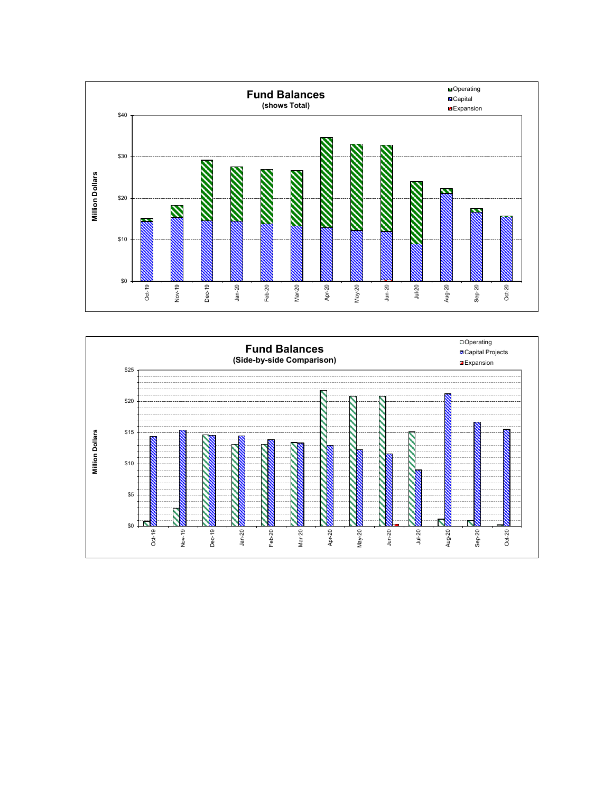

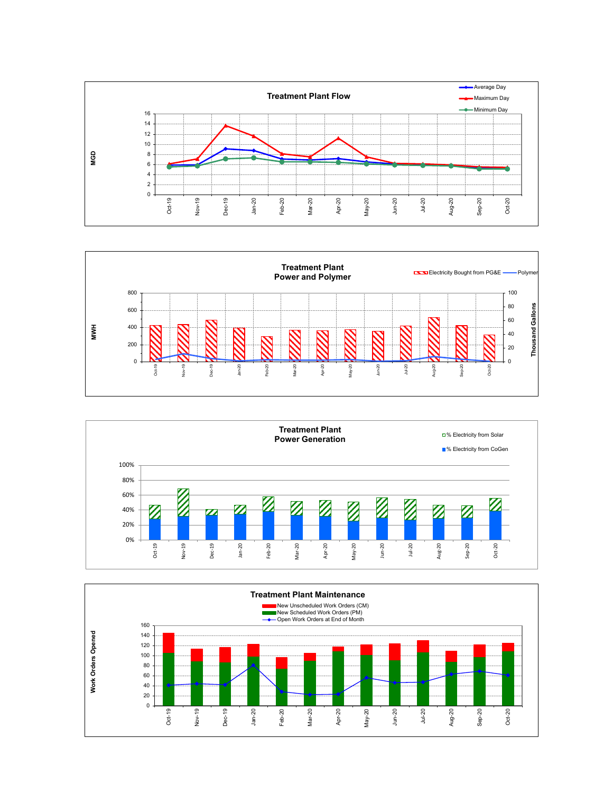





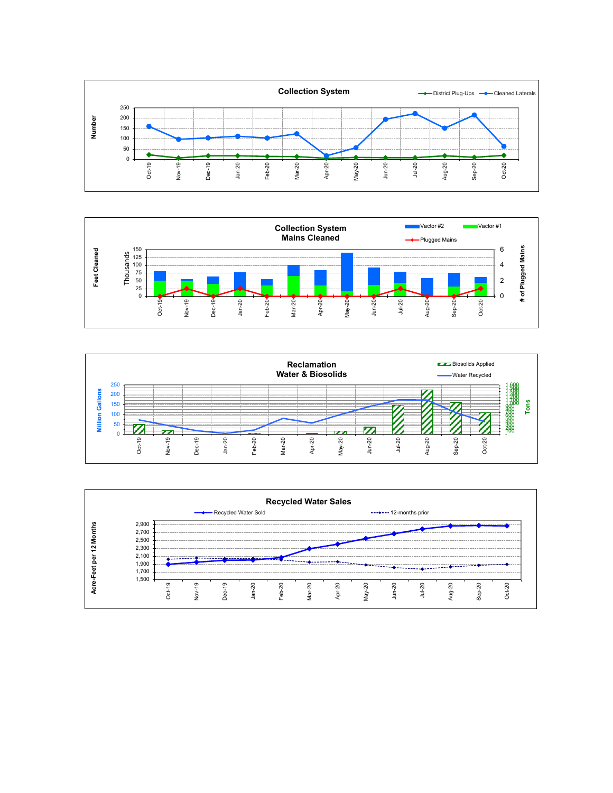





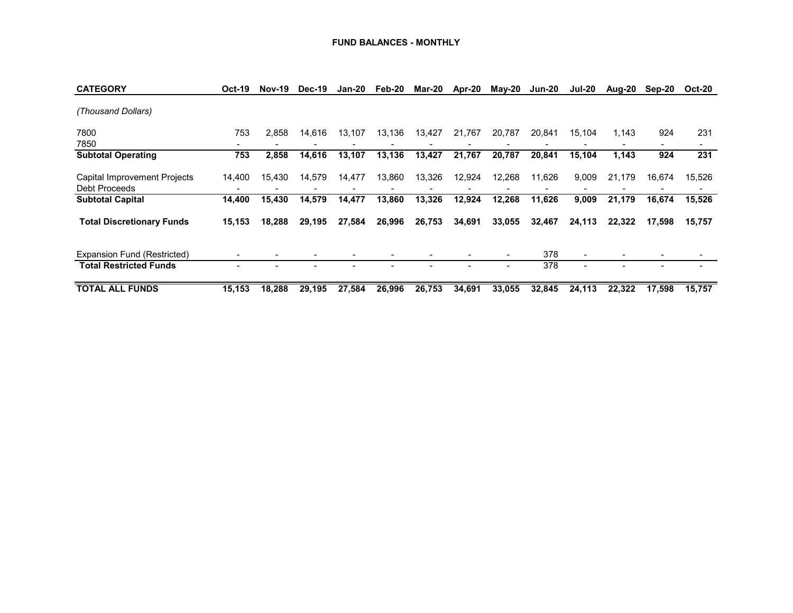| <b>CATEGORY</b>                               | <b>Oct-19</b> | <b>Nov-19</b> | Dec-19 | <b>Jan-20</b> | Feb-20 | Mar-20 | Apr-20 | <b>May-20</b> | Jun-20 | <b>Jul-20</b> | Aug-20 | Sep-20 | <b>Oct-20</b> |
|-----------------------------------------------|---------------|---------------|--------|---------------|--------|--------|--------|---------------|--------|---------------|--------|--------|---------------|
| (Thousand Dollars)                            |               |               |        |               |        |        |        |               |        |               |        |        |               |
| 7800<br>7850                                  | 753           | 2.858         | 14,616 | 13,107        | 13,136 | 13,427 | 21,767 | 20,787        | 20.841 | 15,104        | 1.143  | 924    | 231           |
| <b>Subtotal Operating</b>                     | 753           | 2,858         | 14,616 | 13,107        | 13,136 | 13,427 | 21,767 | 20,787        | 20,841 | 15,104        | 1,143  | 924    | 231           |
| Capital Improvement Projects<br>Debt Proceeds | 14,400        | 15,430        | 14,579 | 14,477        | 13,860 | 13,326 | 12,924 | 12,268        | 11,626 | 9,009         | 21,179 | 16,674 | 15,526        |
| <b>Subtotal Capital</b>                       | 14,400        | 15,430        | 14,579 | 14,477        | 13,860 | 13,326 | 12,924 | 12,268        | 11,626 | 9,009         | 21,179 | 16,674 | 15,526        |
| <b>Total Discretionary Funds</b>              | 15,153        | 18,288        | 29,195 | 27,584        | 26,996 | 26,753 | 34,691 | 33,055        | 32,467 | 24,113        | 22.322 | 17,598 | 15,757        |
| Expansion Fund (Restricted)                   |               |               |        |               |        |        |        |               | 378    |               |        |        |               |
| <b>Total Restricted Funds</b>                 |               |               |        |               |        |        |        |               | 378    |               |        |        |               |
| <b>TOTAL ALL FUNDS</b>                        | 15,153        | 18,288        | 29.195 | 27.584        | 26,996 | 26,753 | 34,691 | 33,055        | 32.845 | 24.113        | 22.322 | 17.598 | 15.757        |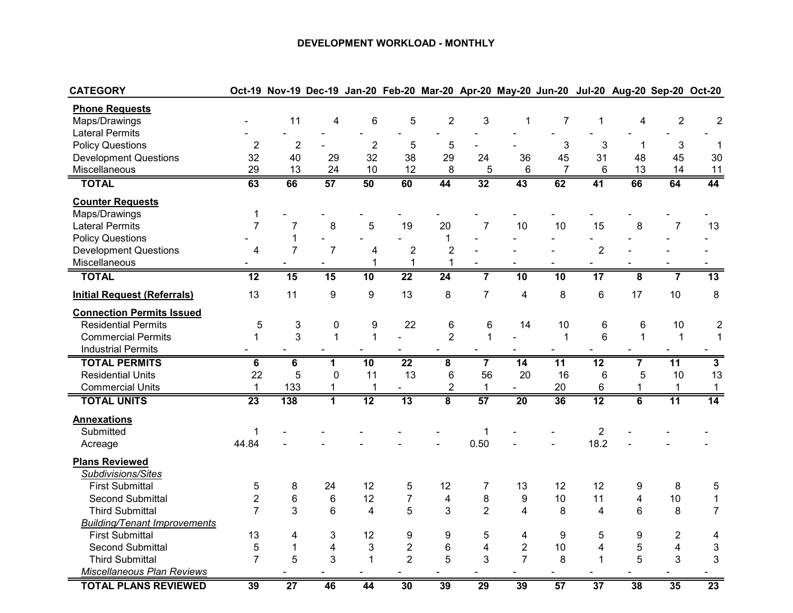#### **DEVELOPMENT WORKLOAD - MONTHLY**

| <b>CATEGORY</b>                     |                         |                  |                         |                |                 |                         |                         | Oct-19 Nov-19 Dec-19 Jan-20 Feb-20 Mar-20 Apr-20 May-20 Jun-20 Jul-20 Aug-20 Sep-20 Oct-20 |                 |                           |                         |                           |                         |
|-------------------------------------|-------------------------|------------------|-------------------------|----------------|-----------------|-------------------------|-------------------------|--------------------------------------------------------------------------------------------|-----------------|---------------------------|-------------------------|---------------------------|-------------------------|
| <b>Phone Requests</b>               |                         |                  |                         |                |                 |                         |                         |                                                                                            |                 |                           |                         |                           |                         |
| Maps/Drawings                       |                         | 11               | $\overline{4}$          | 6              | 5               | $\overline{2}$          | 3                       | $\mathbf{1}$                                                                               | $\overline{7}$  | $\mathbf{1}$              | $\overline{\mathbf{4}}$ | $\overline{2}$            | $\boldsymbol{2}$        |
| <b>Lateral Permits</b>              |                         |                  |                         |                |                 |                         |                         |                                                                                            |                 |                           |                         |                           |                         |
| <b>Policy Questions</b>             | $\overline{2}$          | $\overline{2}$   |                         | $\overline{2}$ | 5               | 5                       |                         |                                                                                            | 3               | $\ensuremath{\mathsf{3}}$ | 1                       | $\ensuremath{\mathsf{3}}$ | $\mathbf{1}$            |
| <b>Development Questions</b>        | 32                      | 40               | 29                      | 32             | 38              | 29                      | 24                      | 36                                                                                         | 45              | 31                        | 48                      | 45                        | 30                      |
| Miscellaneous                       | 29                      | 13               | 24                      | 10             | 12              | 8                       | 5                       | 6                                                                                          | $\overline{7}$  | 6                         | 13                      | 14                        | 11                      |
| <b>TOTAL</b>                        | 63                      | 66               | 57                      | 50             | 60              | 44                      | 32                      | 43                                                                                         | 62              | 41                        | 66                      | 64                        | 44                      |
| <b>Counter Requests</b>             |                         |                  |                         |                |                 |                         |                         |                                                                                            |                 |                           |                         |                           |                         |
| Maps/Drawings                       | $\mathbf{1}$            |                  |                         |                |                 |                         |                         |                                                                                            |                 |                           |                         |                           |                         |
| <b>Lateral Permits</b>              | $\overline{7}$          | $\overline{7}$   | 8                       | 5              | 19              | 20                      | $\overline{7}$          | 10                                                                                         | 10              | 15                        | 8                       | $\overline{7}$            | 13                      |
| <b>Policy Questions</b>             |                         | 1                |                         |                |                 | $\mathbf{1}$            |                         |                                                                                            |                 |                           |                         |                           |                         |
| <b>Development Questions</b>        | $\overline{\mathbf{4}}$ | $\overline{7}$   | $\overline{7}$          | 4              | $\overline{2}$  | $\overline{2}$          |                         |                                                                                            |                 | $\overline{2}$            |                         |                           |                         |
| Miscellaneous                       |                         |                  |                         | 1              | $\mathbf{1}$    | 1                       |                         |                                                                                            |                 |                           |                         |                           |                         |
| <b>TOTAL</b>                        | 12                      | 15               | 15                      | 10             | $\overline{22}$ | $\overline{24}$         |                         | 10                                                                                         | $\overline{10}$ | 17                        | $\overline{8}$          | 7                         | 13                      |
| <b>Initial Request (Referrals)</b>  | 13                      | 11               | $\boldsymbol{9}$        | 9              | 13              | 8                       | $\overline{7}$          | $\overline{4}$                                                                             | 8               | 6                         | 17                      | 10                        | 8                       |
| <b>Connection Permits Issued</b>    |                         |                  |                         |                |                 |                         |                         |                                                                                            |                 |                           |                         |                           |                         |
| <b>Residential Permits</b>          | $\mathbf 5$             | 3                | $\mathbf 0$             | 9              | 22              | 6                       | 6                       | 14                                                                                         | 10              | 6                         | 6                       | 10                        | $\overline{c}$          |
| <b>Commercial Permits</b>           | $\mathbf{1}$            | 3                | $\mathbf{1}$            | $\mathbf{1}$   |                 | $\overline{2}$          | $\mathbf{1}$            |                                                                                            | $\mathbf{1}$    | $6\phantom{1}$            | $\mathbf{1}$            | $\mathbf{1}$              | $\mathbf{1}$            |
| <b>Industrial Permits</b>           |                         |                  |                         |                |                 |                         |                         |                                                                                            |                 |                           |                         |                           |                         |
| <b>TOTAL PERMITS</b>                | $\overline{\mathbf{6}}$ | $\overline{6}$   | $\overline{1}$          | 10             | $\overline{22}$ | $\overline{\mathbf{8}}$ | $\overline{7}$          | 14                                                                                         | $\overline{11}$ | $\overline{12}$           | 7                       | $\overline{11}$           | $\overline{\mathbf{3}}$ |
| <b>Residential Units</b>            | 22                      | 5                | $\mathbf 0$             | 11             | 13              | $6\phantom{1}$          | 56                      | 20                                                                                         | 16              | $6\phantom{1}6$           | 5                       | 10                        | 13                      |
| <b>Commercial Units</b>             | $\mathbf{1}$            | 133              | 1                       | $\mathbf{1}$   |                 | $\overline{2}$          | $\mathbf{1}$            | $\sim$                                                                                     | 20              | 6                         | 1                       | $\mathbf{1}$              | $\mathbf{1}$            |
| <b>TOTAL UNITS</b>                  | 23                      | $\overline{138}$ | $\overline{1}$          | 12             | $\overline{13}$ | $\overline{\mathbf{8}}$ | $\overline{57}$         | $\overline{20}$                                                                            | $\overline{36}$ | $\overline{12}$           | $\overline{6}$          | 11                        | $\overline{14}$         |
| <b>Annexations</b>                  |                         |                  |                         |                |                 |                         |                         |                                                                                            |                 |                           |                         |                           |                         |
| Submitted                           | $\mathbf{1}$            |                  |                         |                |                 |                         | $\mathbf{1}$            |                                                                                            |                 | $\overline{2}$            |                         |                           |                         |
| Acreage                             | 44.84                   |                  |                         |                |                 |                         | 0.50                    |                                                                                            |                 | 18.2                      |                         |                           |                         |
| <b>Plans Reviewed</b>               |                         |                  |                         |                |                 |                         |                         |                                                                                            |                 |                           |                         |                           |                         |
| Subdivisions/Sites                  |                         |                  |                         |                |                 |                         |                         |                                                                                            |                 |                           |                         |                           |                         |
| <b>First Submittal</b>              | $\mathbf 5$             | 8                | 24                      | 12             | 5               | 12                      | $\overline{7}$          | 13                                                                                         | 12              | 12                        | 9                       | 8                         | 5                       |
| <b>Second Submittal</b>             | $\overline{c}$          | $6\phantom{1}6$  | 6                       | 12             | $\overline{7}$  | $\overline{\mathbf{4}}$ | 8                       | 9                                                                                          | 10              | 11                        | 4                       | 10                        | $\mathbf{1}$            |
| <b>Third Submittal</b>              | $\overline{7}$          | 3                | 6                       | 4              | 5               | 3                       | $\overline{2}$          | 4                                                                                          | 8               | 4                         | 6                       | 8                         | $\overline{7}$          |
| <b>Building/Tenant Improvements</b> |                         |                  |                         |                |                 |                         |                         |                                                                                            |                 |                           |                         |                           |                         |
| <b>First Submittal</b>              | 13                      | 4                | 3                       | 12             | 9               | 9                       | 5                       | 4                                                                                          | 9               | 5                         | 9                       | $\overline{2}$            | 4                       |
| <b>Second Submittal</b>             | 5                       | $\mathbf{1}$     | $\overline{\mathbf{4}}$ | 3              | $\overline{2}$  | $6\phantom{1}6$         | $\overline{\mathbf{4}}$ | $\overline{2}$                                                                             | 10              | 4                         | 5                       | $\overline{\mathbf{4}}$   | $\mathfrak{B}$          |
| <b>Third Submittal</b>              | $\overline{7}$          | 5                | 3                       | $\mathbf{1}$   | $\overline{2}$  | 5                       | 3                       | $\overline{7}$                                                                             | 8               | $\mathbf{1}$              | 5                       | 3                         | 3                       |
| Miscellaneous Plan Reviews          |                         |                  |                         |                |                 |                         |                         |                                                                                            |                 |                           |                         |                           |                         |
| <b>TOTAL PLANS REVIEWED</b>         | 39                      | $\overline{27}$  | 46                      | 44             | 30              | 39                      | 29                      | 39                                                                                         | 57              | $\overline{37}$           | 38                      | 35                        | 23                      |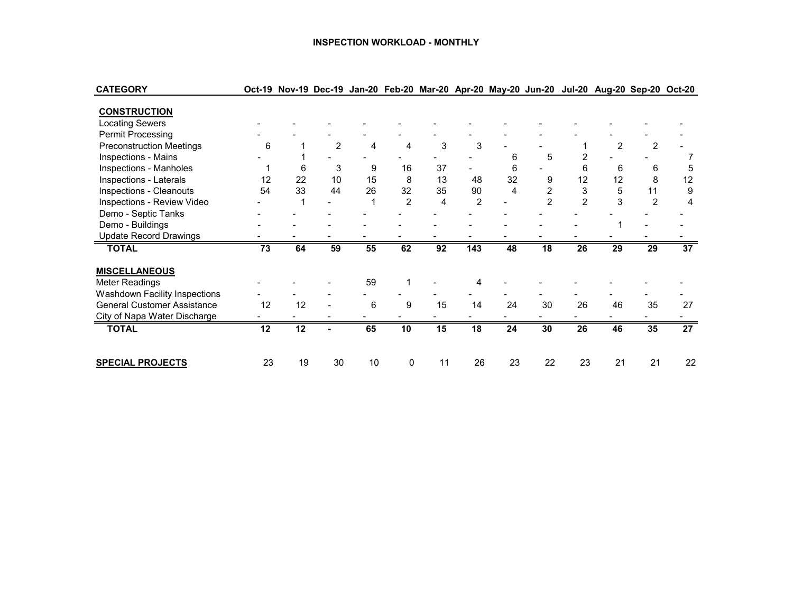#### **INSPECTION WORKLOAD - MONTHLY**

| <b>CATEGORY</b>                    |    |    |                |    |                |    |                | Oct-19 Nov-19 Dec-19 Jan-20 Feb-20 Mar-20 Apr-20 May-20 Jun-20 Jul-20 Aug-20 Sep-20 Oct-20 |                |                |                |                |                 |
|------------------------------------|----|----|----------------|----|----------------|----|----------------|--------------------------------------------------------------------------------------------|----------------|----------------|----------------|----------------|-----------------|
|                                    |    |    |                |    |                |    |                |                                                                                            |                |                |                |                |                 |
| <b>CONSTRUCTION</b>                |    |    |                |    |                |    |                |                                                                                            |                |                |                |                |                 |
| <b>Locating Sewers</b>             |    |    |                |    |                |    |                |                                                                                            |                |                |                |                |                 |
| Permit Processing                  |    |    |                |    |                |    |                |                                                                                            |                |                |                |                |                 |
| <b>Preconstruction Meetings</b>    | 6  |    | $\overline{2}$ | 4  | 4              | 3  | 3              |                                                                                            |                |                | $\overline{2}$ | $\overline{2}$ |                 |
| Inspections - Mains                |    |    |                |    |                |    |                | 6                                                                                          | 5              | 2              |                |                |                 |
| Inspections - Manholes             |    | 6  | 3              | 9  | 16             | 37 |                | 6                                                                                          |                | 6              | 6              | 6              | 5               |
| Inspections - Laterals             | 12 | 22 | 10             | 15 | 8              | 13 | 48             | 32                                                                                         | 9              | 12             | 12             | 8              | 12              |
| <b>Inspections - Cleanouts</b>     | 54 | 33 | 44             | 26 | 32             | 35 | 90             | 4                                                                                          | 2              | 3              | 5              | 11             | 9               |
| Inspections - Review Video         |    |    |                |    | $\mathfrak{p}$ | 4  | $\overline{2}$ |                                                                                            | $\mathfrak{p}$ | $\overline{2}$ | 3              | $\mathfrak{p}$ | 4               |
| Demo - Septic Tanks                |    |    |                |    |                |    |                |                                                                                            |                |                |                |                |                 |
| Demo - Buildings                   |    |    |                |    |                |    |                |                                                                                            |                |                |                |                |                 |
| <b>Update Record Drawings</b>      |    |    |                |    |                |    |                |                                                                                            |                |                |                |                |                 |
| <b>TOTAL</b>                       | 73 | 64 | 59             | 55 | 62             | 92 | 143            | 48                                                                                         | 18             | 26             | 29             | 29             | $\overline{37}$ |
| <b>MISCELLANEOUS</b>               |    |    |                |    |                |    |                |                                                                                            |                |                |                |                |                 |
| <b>Meter Readings</b>              |    |    |                | 59 |                |    |                |                                                                                            |                |                |                |                |                 |
| Washdown Facility Inspections      |    |    |                |    |                |    |                |                                                                                            |                |                |                |                |                 |
| <b>General Customer Assistance</b> | 12 | 12 |                | 6  | 9              | 15 | 14             | 24                                                                                         | 30             | 26             | 46             | 35             | 27              |
| City of Napa Water Discharge       |    |    |                |    |                |    |                |                                                                                            |                |                |                |                |                 |
| <b>TOTAL</b>                       | 12 | 12 |                | 65 | 10             | 15 | 18             | 24                                                                                         | 30             | 26             | 46             | 35             | $\overline{27}$ |
|                                    |    |    |                |    |                |    |                |                                                                                            |                |                |                |                |                 |
| <b>SPECIAL PROJECTS</b>            | 23 | 19 | 30             | 10 | 0              | 11 | 26             | 23                                                                                         | 22             | 23             | 21             | 21             | 22              |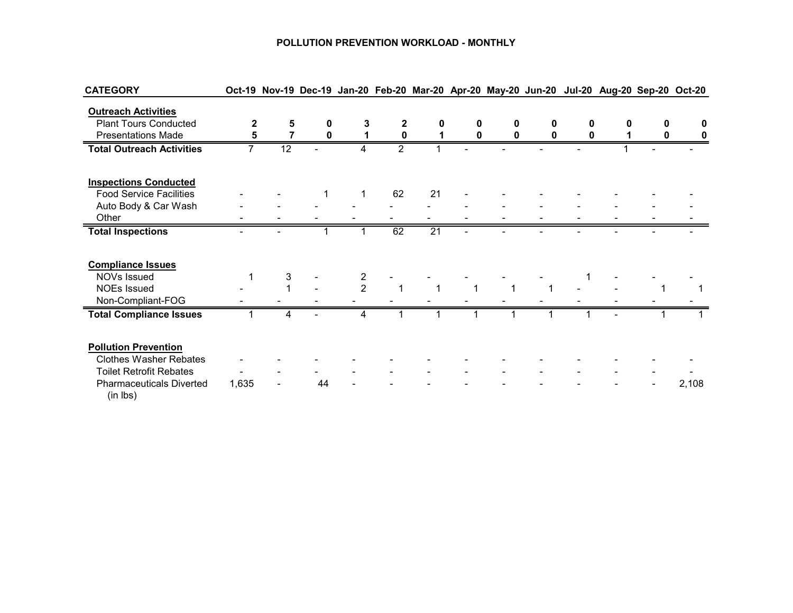#### **POLLUTION PREVENTION WORKLOAD - MONTHLY**

| <b>CATEGORY</b>                             |       |    |    |                |                |                 |   |   |   |   |   |   | Oct-19 Nov-19 Dec-19 Jan-20 Feb-20 Mar-20 Apr-20 May-20 Jun-20 Jul-20 Aug-20 Sep-20 Oct-20 |
|---------------------------------------------|-------|----|----|----------------|----------------|-----------------|---|---|---|---|---|---|--------------------------------------------------------------------------------------------|
| <b>Outreach Activities</b>                  |       |    |    |                |                |                 |   |   |   |   |   |   |                                                                                            |
| <b>Plant Tours Conducted</b>                | 2     | 5  | 0  | 3              | $\mathbf{2}$   | 0               | 0 | 0 | 0 | 0 | O | 0 | 0                                                                                          |
| <b>Presentations Made</b>                   | 5     |    | 0  |                | $\mathbf 0$    |                 | 0 | 0 | 0 | 0 |   | 0 | 0                                                                                          |
| <b>Total Outreach Activities</b>            |       | 12 |    | 4              | $\overline{2}$ |                 |   |   |   |   |   |   |                                                                                            |
| <b>Inspections Conducted</b>                |       |    |    |                |                |                 |   |   |   |   |   |   |                                                                                            |
| <b>Food Service Facilities</b>              |       |    |    | 1              | 62             | 21              |   |   |   |   |   |   |                                                                                            |
| Auto Body & Car Wash                        |       |    |    |                |                |                 |   |   |   |   |   |   |                                                                                            |
| Other                                       |       |    |    |                |                |                 |   |   |   |   |   |   |                                                                                            |
| <b>Total Inspections</b>                    |       |    |    |                | 62             | $\overline{21}$ |   |   |   |   |   |   |                                                                                            |
| <b>Compliance Issues</b>                    |       |    |    |                |                |                 |   |   |   |   |   |   |                                                                                            |
| NOVs Issued                                 |       | 3  |    | 2              |                |                 |   |   |   |   |   |   |                                                                                            |
| <b>NOEs Issued</b>                          |       |    |    | $\overline{2}$ |                |                 |   |   |   |   |   |   |                                                                                            |
| Non-Compliant-FOG                           |       |    |    |                |                |                 |   |   |   |   |   |   |                                                                                            |
| <b>Total Compliance Issues</b>              |       | 4  |    | 4              |                |                 |   |   |   |   |   |   |                                                                                            |
| <b>Pollution Prevention</b>                 |       |    |    |                |                |                 |   |   |   |   |   |   |                                                                                            |
| <b>Clothes Washer Rebates</b>               |       |    |    |                |                |                 |   |   |   |   |   |   |                                                                                            |
| <b>Toilet Retrofit Rebates</b>              |       |    |    |                |                |                 |   |   |   |   |   |   |                                                                                            |
| <b>Pharmaceuticals Diverted</b><br>(in lbs) | 1,635 |    | 44 |                |                |                 |   |   |   |   |   |   | 2,108                                                                                      |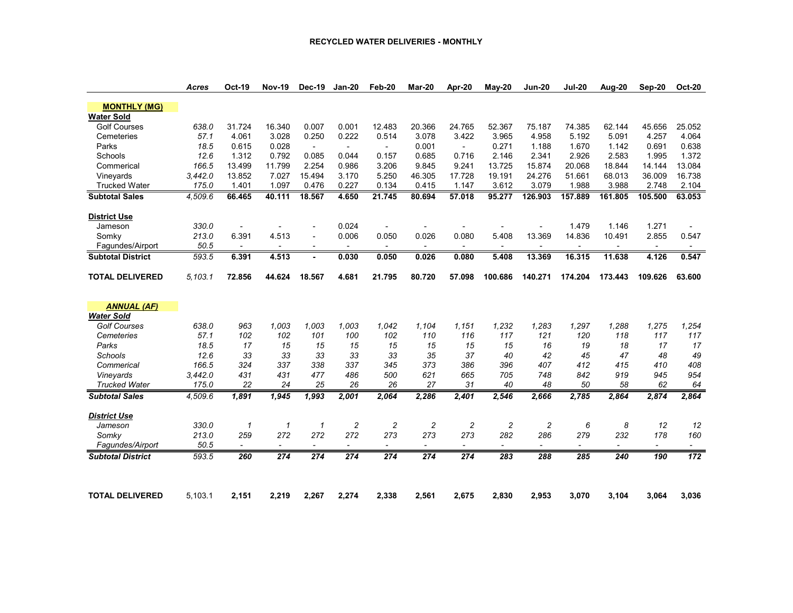|                          | <b>Acres</b> | <b>Oct-19</b>            | <b>Nov-19</b>            | <b>Dec-19</b>            | <b>Jan-20</b>            | Feb-20                   | Mar-20                   | Apr-20                   | May-20                   | <b>Jun-20</b>            | <b>Jul-20</b>            | Aug-20                   | Sep-20                   | <b>Oct-20</b>            |
|--------------------------|--------------|--------------------------|--------------------------|--------------------------|--------------------------|--------------------------|--------------------------|--------------------------|--------------------------|--------------------------|--------------------------|--------------------------|--------------------------|--------------------------|
| <b>MONTHLY (MG)</b>      |              |                          |                          |                          |                          |                          |                          |                          |                          |                          |                          |                          |                          |                          |
| <b>Water Sold</b>        |              |                          |                          |                          |                          |                          |                          |                          |                          |                          |                          |                          |                          |                          |
| <b>Golf Courses</b>      | 638.0        | 31.724                   | 16.340                   | 0.007                    | 0.001                    | 12.483                   | 20.366                   | 24.765                   | 52.367                   | 75.187                   | 74.385                   | 62.144                   | 45.656                   | 25.052                   |
| Cemeteries               | 57.1         | 4.061                    | 3.028                    | 0.250                    | 0.222                    | 0.514                    | 3.078                    | 3.422                    | 3.965                    | 4.958                    | 5.192                    | 5.091                    | 4.257                    | 4.064                    |
| Parks                    | 18.5         | 0.615                    | 0.028                    | $\overline{\phantom{a}}$ | $\blacksquare$           |                          | 0.001                    | $\blacksquare$           | 0.271                    | 1.188                    | 1.670                    | 1.142                    | 0.691                    | 0.638                    |
| Schools                  | 12.6         | 1.312                    | 0.792                    | 0.085                    | 0.044                    | 0.157                    | 0.685                    | 0.716                    | 2.146                    | 2.341                    | 2.926                    | 2.583                    | 1.995                    | 1.372                    |
| Commerical               | 166.5        | 13.499                   | 11.799                   | 2.254                    | 0.986                    | 3.206                    | 9.845                    | 9.241                    | 13.725                   | 15.874                   | 20.068                   | 18.844                   | 14.144                   | 13.084                   |
| Vineyards                | 3,442.0      | 13.852                   | 7.027                    | 15.494                   | 3.170                    | 5.250                    | 46.305                   | 17.728                   | 19.191                   | 24.276                   | 51.661                   | 68.013                   | 36.009                   | 16.738                   |
| <b>Trucked Water</b>     | 175.0        | 1.401                    | 1.097                    | 0.476                    | 0.227                    | 0.134                    | 0.415                    | 1.147                    | 3.612                    | 3.079                    | 1.988                    | 3.988                    | 2.748                    | 2.104                    |
| <b>Subtotal Sales</b>    | 4,509.6      | 66.465                   | 40.111                   | 18.567                   | 4.650                    | 21.745                   | 80.694                   | 57.018                   | 95.277                   | 126.903                  | 157.889                  | 161.805                  | 105.500                  | 63.053                   |
|                          |              |                          |                          |                          |                          |                          |                          |                          |                          |                          |                          |                          |                          |                          |
| <b>District Use</b>      |              |                          |                          |                          |                          |                          |                          |                          |                          |                          |                          |                          |                          |                          |
| Jameson                  | 330.0        |                          |                          |                          | 0.024                    |                          |                          |                          |                          |                          | 1.479                    | 1.146                    | 1.271                    |                          |
| Somky                    | 213.0        | 6.391                    | 4.513                    | $\overline{\phantom{a}}$ | 0.006                    | 0.050                    | 0.026                    | 0.080                    | 5.408                    | 13.369                   | 14.836                   | 10.491                   | 2.855                    | 0.547                    |
| Fagundes/Airport         | 50.5         | $\sim$                   | $\overline{\phantom{a}}$ | $\overline{\phantom{a}}$ | $\overline{\phantom{a}}$ |                          | $\overline{\phantom{a}}$ | $\overline{\phantom{a}}$ |                          | $\blacksquare$           | $\blacksquare$           | $\overline{\phantom{a}}$ | $\sim$                   | $\overline{\phantom{a}}$ |
| <b>Subtotal District</b> | 593.5        | 6.391                    | 4.513                    |                          | 0.030                    | 0.050                    | 0.026                    | 0.080                    | 5.408                    | 13.369                   | 16.315                   | 11.638                   | 4.126                    | 0.547                    |
| <b>TOTAL DELIVERED</b>   | 5.103.1      | 72.856                   | 44.624                   | 18.567                   | 4.681                    | 21.795                   | 80.720                   | 57.098                   | 100.686                  | 140.271                  | 174.204                  | 173.443                  | 109.626                  | 63.600                   |
|                          |              |                          |                          |                          |                          |                          |                          |                          |                          |                          |                          |                          |                          |                          |
| <b>ANNUAL (AF)</b>       |              |                          |                          |                          |                          |                          |                          |                          |                          |                          |                          |                          |                          |                          |
| <b>Water Sold</b>        |              |                          |                          |                          |                          |                          |                          |                          |                          |                          |                          |                          |                          |                          |
| <b>Golf Courses</b>      | 638.0        | 963                      | 1,003                    | 1,003                    | 1,003                    | 1,042                    | 1,104                    | 1,151                    | 1,232                    | 1,283                    | 1,297                    | 1,288                    | 1,275                    | 1,254                    |
| Cemeteries               | 57.1         | 102                      | 102                      | 101                      | 100                      | 102                      | 110                      | 116                      | 117                      | 121                      | 120                      | 118                      | 117                      | 117                      |
| Parks                    | 18.5         | 17                       | 15                       | 15                       | 15                       | 15                       | 15                       | 15                       | 15                       | 16                       | 19                       | 18                       | 17                       | 17                       |
| Schools                  | 12.6         | 33                       | 33                       | 33                       | 33                       | 33                       | 35                       | 37                       | 40                       | 42                       | 45                       | 47                       | 48                       | 49                       |
| Commerical               | 166.5        | 324                      | 337                      | 338                      | 337                      | 345                      | 373                      | 386                      | 396                      | 407                      | 412                      | 415                      | 410                      | 408                      |
| Vineyards                | 3,442.0      | 431                      | 431                      | 477                      | 486                      | 500                      | 621                      | 665                      | 705                      | 748                      | 842                      | 919                      | 945                      | 954                      |
| <b>Trucked Water</b>     | 175.0        | 22                       | 24                       | 25                       | 26                       | 26                       | 27                       | 31                       | 40                       | 48                       | 50                       | 58                       | 62                       | 64                       |
| <b>Subtotal Sales</b>    | 4,509.6      | 1,891                    | 1,945                    | 1,993                    | 2,001                    | 2,064                    | 2,286                    | 2,401                    | 2,546                    | 2,666                    | 2,785                    | 2,864                    | 2,874                    | 2,864                    |
| <b>District Use</b>      |              |                          |                          |                          |                          |                          |                          |                          |                          |                          |                          |                          |                          |                          |
| Jameson                  | 330.0        | $\mathcal I$             | 1                        | $\mathbf{1}$             | $\overline{c}$           | $\overline{c}$           | $\overline{c}$           | $\overline{c}$           | $\overline{c}$           | $\overline{c}$           | 6                        | 8                        | 12                       | 12                       |
| Somky                    | 213.0        | 259                      | 272                      | 272                      | 272                      | 273                      | 273                      | 273                      | 282                      | 286                      | 279                      | 232                      | 178                      | 160                      |
| Fagundes/Airport         | 50.5         | $\overline{\phantom{a}}$ | $\overline{\phantom{a}}$ | $\overline{\phantom{a}}$ | $\overline{\phantom{a}}$ | $\overline{\phantom{a}}$ | $\overline{\phantom{a}}$ | $\overline{\phantom{a}}$ | $\overline{\phantom{a}}$ | $\overline{\phantom{a}}$ | $\overline{\phantom{a}}$ | $\overline{\phantom{a}}$ | $\overline{\phantom{a}}$ | $\overline{\phantom{a}}$ |
| <b>Subtotal District</b> | 593.5        | 260                      | 274                      | 274                      | 274                      | $\overline{274}$         | 274                      | 274                      | 283                      | 288                      | 285                      | 240                      | 190                      | 172                      |
|                          |              |                          |                          |                          |                          |                          |                          |                          |                          |                          |                          |                          |                          |                          |
| <b>TOTAL DELIVERED</b>   | 5.103.1      | 2.151                    | 2,219                    | 2,267                    | 2,274                    | 2,338                    | 2.561                    | 2.675                    | 2,830                    | 2.953                    | 3,070                    | 3,104                    | 3.064                    | 3,036                    |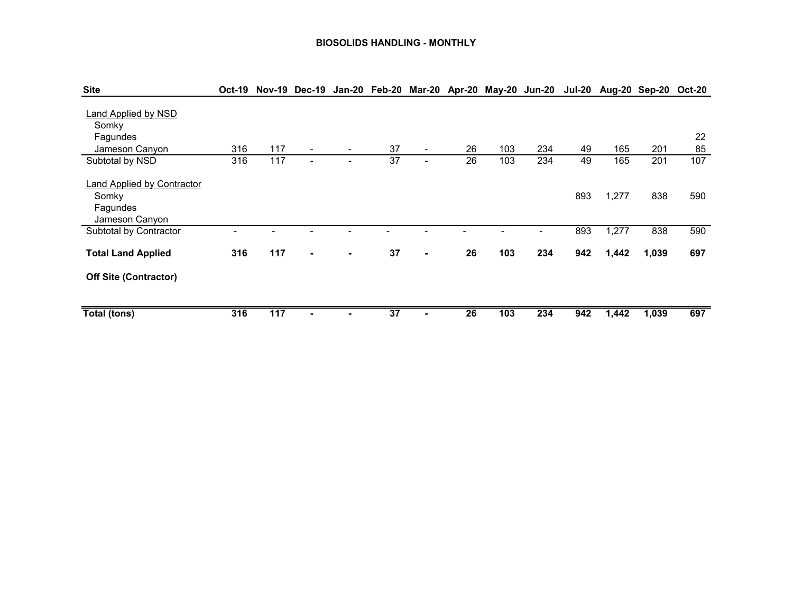#### **BIOSOLIDS HANDLING - MONTHLY**

| <b>Site</b>                                                              |     |     |                |   |                 |                          |    | Oct-19 Nov-19 Dec-19 Jan-20 Feb-20 Mar-20 Apr-20 May-20 Jun-20 |     |     | Jul-20 Aug-20 Sep-20 |       | $Oct-20$ |
|--------------------------------------------------------------------------|-----|-----|----------------|---|-----------------|--------------------------|----|----------------------------------------------------------------|-----|-----|----------------------|-------|----------|
| <b>Land Applied by NSD</b><br>Somky<br>Fagundes<br>Jameson Canyon        | 316 | 117 | $\blacksquare$ | ۰ | 37              | ۰.                       | 26 | 103                                                            | 234 | 49  | 165                  | 201   | 22<br>85 |
| Subtotal by NSD                                                          | 316 | 117 | $\blacksquare$ |   | $\overline{37}$ | $\overline{\phantom{0}}$ | 26 | 103                                                            | 234 | 49  | 165                  | 201   | 107      |
| <b>Land Applied by Contractor</b><br>Somky<br>Fagundes<br>Jameson Canyon |     |     |                |   |                 |                          |    |                                                                |     | 893 | 1,277                | 838   | 590      |
| Subtotal by Contractor                                                   |     |     |                |   |                 |                          |    |                                                                |     | 893 | 1,277                | 838   | 590      |
| <b>Total Land Applied</b>                                                | 316 | 117 | $\blacksquare$ |   | 37              | $\blacksquare$           | 26 | 103                                                            | 234 | 942 | 1,442                | 1,039 | 697      |
| <b>Off Site (Contractor)</b>                                             |     |     |                |   |                 |                          |    |                                                                |     |     |                      |       |          |
| Total (tons)                                                             | 316 | 117 |                |   | 37              |                          | 26 | 103                                                            | 234 | 942 | 1,442                | 1,039 | 697      |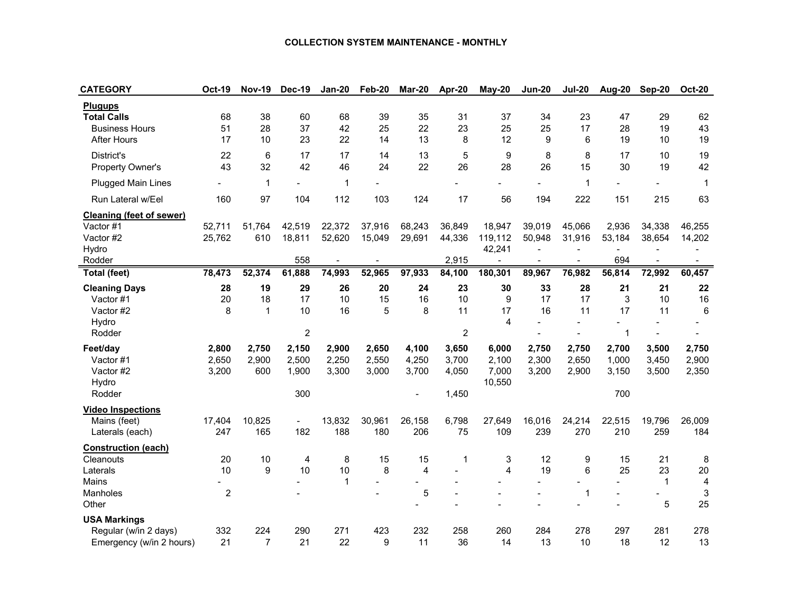#### **COLLECTION SYSTEM MAINTENANCE - MONTHLY**

| <b>CATEGORY</b>                                                                     | <b>Oct-19</b>                | <b>Nov-19</b>         | Dec-19                           | <b>Jan-20</b>           | Feb-20                  | <b>Mar-20</b>           | Apr-20                           | May-20                                        | <b>Jun-20</b>           | <b>Jul-20</b>                                                  | Aug-20                                             | Sep-20                  | <b>Oct-20</b>           |
|-------------------------------------------------------------------------------------|------------------------------|-----------------------|----------------------------------|-------------------------|-------------------------|-------------------------|----------------------------------|-----------------------------------------------|-------------------------|----------------------------------------------------------------|----------------------------------------------------|-------------------------|-------------------------|
| <b>Plugups</b><br><b>Total Calls</b><br><b>Business Hours</b><br><b>After Hours</b> | 68<br>51<br>17               | 38<br>28<br>10        | 60<br>37<br>23                   | 68<br>42<br>22          | 39<br>25<br>14          | 35<br>22<br>13          | 31<br>23<br>8                    | 37<br>25<br>12                                | 34<br>25<br>9           | 23<br>17<br>6                                                  | 47<br>28<br>19                                     | 29<br>19<br>10          | 62<br>43<br>19          |
| District's<br>Property Owner's                                                      | 22<br>43                     | 6<br>32               | 17<br>42                         | 17<br>46                | 14<br>24                | 13<br>22                | 5<br>26                          | 9<br>28                                       | 8<br>26                 | 8<br>15                                                        | 17<br>30                                           | 10<br>19                | 19<br>42                |
| <b>Plugged Main Lines</b>                                                           |                              | 1                     |                                  | 1                       |                         |                         |                                  |                                               |                         | 1                                                              |                                                    |                         | $\mathbf{1}$            |
| Run Lateral w/Eel                                                                   | 160                          | 97                    | 104                              | 112                     | 103                     | 124                     | 17                               | 56                                            | 194                     | 222                                                            | 151                                                | 215                     | 63                      |
| <b>Cleaning (feet of sewer)</b><br>Vactor #1<br>Vactor #2<br>Hydro<br>Rodder        | 52,711<br>25,762             | 51.764<br>610         | 42,519<br>18,811<br>558          | 22,372<br>52,620        | 37,916<br>15,049        | 68,243<br>29,691        | 36.849<br>44,336<br>2,915        | 18,947<br>119,112<br>42,241<br>$\blacksquare$ | 39,019<br>50,948        | 45.066<br>31,916<br>$\overline{a}$<br>$\overline{\phantom{a}}$ | 2,936<br>53,184<br>$\overline{\phantom{0}}$<br>694 | 34,338<br>38,654        | 46,255<br>14,202        |
| <b>Total (feet)</b>                                                                 | 78,473                       | 52,374                | 61,888                           | 74,993                  | 52,965                  | 97,933                  | 84,100                           | 180,301                                       | 89,967                  | 76,982                                                         | 56,814                                             | 72,992                  | 60,457                  |
| <b>Cleaning Days</b><br>Vactor #1<br>Vactor #2<br>Hydro<br>Rodder                   | 28<br>20<br>8                | 19<br>18<br>1         | 29<br>17<br>10<br>$\overline{c}$ | 26<br>10<br>16          | 20<br>15<br>5           | 24<br>16<br>8           | 23<br>10<br>11<br>$\overline{2}$ | 30<br>9<br>17<br>4                            | 33<br>17<br>16          | 28<br>17<br>11                                                 | 21<br>3<br>17<br>$\mathbf 1$                       | 21<br>10<br>11          | 22<br>16<br>6           |
| Feet/day<br>Vactor #1<br>Vactor #2<br>Hydro<br>Rodder                               | 2,800<br>2,650<br>3,200      | 2,750<br>2,900<br>600 | 2,150<br>2,500<br>1,900<br>300   | 2,900<br>2,250<br>3,300 | 2,650<br>2,550<br>3,000 | 4,100<br>4,250<br>3,700 | 3,650<br>3,700<br>4,050<br>1,450 | 6,000<br>2,100<br>7,000<br>10,550             | 2,750<br>2,300<br>3,200 | 2,750<br>2,650<br>2,900                                        | 2,700<br>1,000<br>3,150<br>700                     | 3,500<br>3,450<br>3,500 | 2,750<br>2,900<br>2,350 |
| <b>Video Inspections</b><br>Mains (feet)<br>Laterals (each)                         | 17,404<br>247                | 10,825<br>165         | $\overline{a}$<br>182            | 13,832<br>188           | 30,961<br>180           | 26,158<br>206           | 6,798<br>75                      | 27,649<br>109                                 | 16,016<br>239           | 24,214<br>270                                                  | 22,515<br>210                                      | 19,796<br>259           | 26,009<br>184           |
| <b>Construction (each)</b><br>Cleanouts<br>Laterals<br>Mains<br>Manholes<br>Other   | 20<br>10<br>$\boldsymbol{2}$ | 10<br>9               | 4<br>10                          | 8<br>10<br>1            | 15<br>8                 | 15<br>4<br>5            | 1                                | 3<br>4                                        | 12<br>19                | 9<br>6<br>$\overline{a}$<br>$\mathbf 1$                        | 15<br>25                                           | 21<br>23<br>1<br>5      | 8<br>20<br>4<br>3<br>25 |
| <b>USA Markings</b><br>Regular (w/in 2 days)<br>Emergency (w/in 2 hours)            | 332<br>21                    | 224<br>7              | 290<br>21                        | 271<br>22               | 423<br>9                | 232<br>11               | 258<br>36                        | 260<br>14                                     | 284<br>13               | 278<br>10                                                      | 297<br>18                                          | 281<br>12               | 278<br>13               |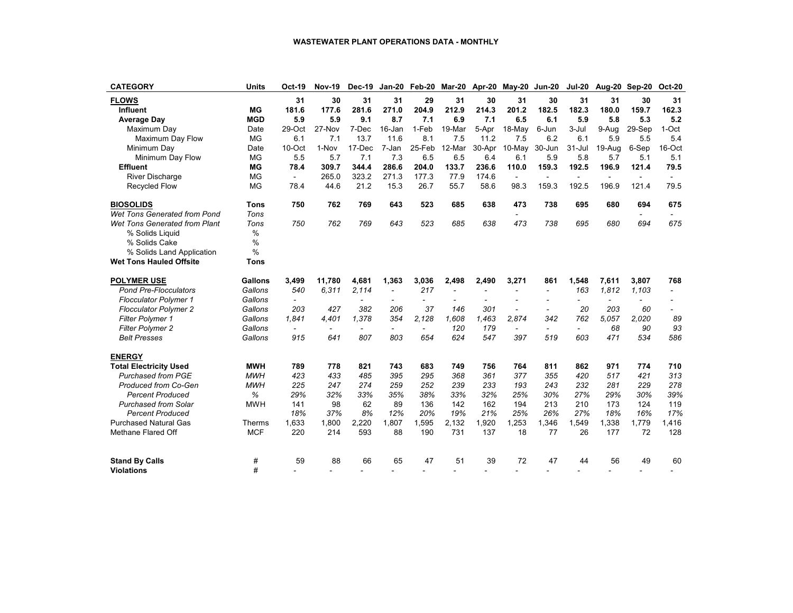#### **WASTEWATER PLANT OPERATIONS DATA - MONTHLY**

| <b>CATEGORY</b>                | <b>Units</b>   | Oct-19         | <b>Nov-19</b> | <b>Dec-19</b>  | Jan-20                   | Feb-20                   |                |                | Mar-20 Apr-20 May-20 Jun-20 |                          | <b>Jul-20</b>            | Aug-20                   | Sep-20         | <b>Oct-20</b>  |
|--------------------------------|----------------|----------------|---------------|----------------|--------------------------|--------------------------|----------------|----------------|-----------------------------|--------------------------|--------------------------|--------------------------|----------------|----------------|
| <b>FLOWS</b>                   |                | 31             | 30            | 31             | 31                       | 29                       | 31             | 30             | 31                          | 30                       | 31                       | 31                       | 30             | 31             |
| Influent                       | <b>MG</b>      | 181.6          | 177.6         | 281.6          | 271.0                    | 204.9                    | 212.9          | 214.3          | 201.2                       | 182.5                    | 182.3                    | 180.0                    | 159.7          | 162.3          |
| <b>Average Day</b>             | <b>MGD</b>     | 5.9            | 5.9           | 9.1            | 8.7                      | 7.1                      | 6.9            | 7.1            | 6.5                         | 6.1                      | 5.9                      | 5.8                      | 5.3            | 5.2            |
| Maximum Day                    | Date           | 29-Oct         | 27-Nov        | 7-Dec          | 16-Jan                   | 1-Feb                    | 19-Mar         | 5-Apr          | 18-May                      | 6-Jun                    | 3-Jul                    | 9-Aug                    | 29-Sep         | 1-Oct          |
| Maximum Day Flow               | <b>MG</b>      | 6.1            | 7.1           | 13.7           | 11.6                     | 8.1                      | 7.5            | 11.2           | 7.5                         | 6.2                      | 6.1                      | 5.9                      | 5.5            | 5.4            |
| Minimum Day                    | Date           | $10$ -Oct      | 1-Nov         | 17-Dec         | 7-Jan                    | 25-Feb                   | 12-Mar         | 30-Apr         | $10$ -May                   | 30-Jun                   | 31-Jul                   | 19-Aug                   | 6-Sep          | 16-Oct         |
| Minimum Day Flow               | <b>MG</b>      | 5.5            | 5.7           | 7.1            | 7.3                      | 6.5                      | 6.5            | 6.4            | 6.1                         | 5.9                      | 5.8                      | 5.7                      | 5.1            | 5.1            |
| <b>Effluent</b>                | <b>MG</b>      | 78.4           | 309.7         | 344.4          | 286.6                    | 204.0                    | 133.7          | 236.6          | 110.0                       | 159.3                    | 192.5                    | 196.9                    | 121.4          | 79.5           |
| <b>River Discharge</b>         | <b>MG</b>      | $\blacksquare$ | 265.0         | 323.2          | 271.3                    | 177.3                    | 77.9           | 174.6          | $\blacksquare$              | $\sim$                   | $\blacksquare$           | $\blacksquare$           | $\blacksquare$ |                |
| <b>Recycled Flow</b>           | <b>MG</b>      | 78.4           | 44.6          | 21.2           | 15.3                     | 26.7                     | 55.7           | 58.6           | 98.3                        | 159.3                    | 192.5                    | 196.9                    | 121.4          | 79.5           |
| <b>BIOSOLIDS</b>               | <b>Tons</b>    | 750            | 762           | 769            | 643                      | 523                      | 685            | 638            | 473                         | 738                      | 695                      | 680                      | 694            | 675            |
| Wet Tons Generated from Pond   | Tons           |                |               |                |                          |                          |                |                |                             |                          |                          |                          |                |                |
| Wet Tons Generated from Plant  | Tons           | 750            | 762           | 769            | 643                      | 523                      | 685            | 638            | 473                         | 738                      | 695                      | 680                      | 694            | 675            |
| % Solids Liquid                | $\%$           |                |               |                |                          |                          |                |                |                             |                          |                          |                          |                |                |
| % Solids Cake                  | $\frac{0}{0}$  |                |               |                |                          |                          |                |                |                             |                          |                          |                          |                |                |
| % Solids Land Application      | $\frac{0}{0}$  |                |               |                |                          |                          |                |                |                             |                          |                          |                          |                |                |
| <b>Wet Tons Hauled Offsite</b> | Tons           |                |               |                |                          |                          |                |                |                             |                          |                          |                          |                |                |
| <b>POLYMER USE</b>             | <b>Gallons</b> | 3,499          | 11.780        | 4.681          | 1,363                    | 3,036                    | 2,498          | 2.490          | 3,271                       | 861                      | 1.548                    | 7,611                    | 3.807          | 768            |
| <b>Pond Pre-Flocculators</b>   | Gallons        | 540            | 6,311         | 2,114          | $\overline{\phantom{a}}$ | 217                      | $\overline{a}$ | $\overline{a}$ | $\overline{a}$              | $\overline{\phantom{a}}$ | 163                      | 1,812                    | 1,103          | $\overline{a}$ |
| <b>Flocculator Polymer 1</b>   | Gallons        | $\overline{a}$ |               | $\overline{a}$ |                          | $\overline{\phantom{a}}$ | $\overline{a}$ | $\overline{a}$ | $\overline{a}$              | ÷,                       | $\overline{a}$           | $\overline{\phantom{a}}$ |                |                |
| <b>Flocculator Polymer 2</b>   | Gallons        | 203            | 427           | 382            | 206                      | 37                       | 146            | 301            | $\overline{\phantom{a}}$    | $\overline{a}$           | 20                       | 203                      | 60             |                |
| <b>Filter Polymer 1</b>        | Gallons        | 1.841          | 4.401         | 1.378          | 354                      | 2.128                    | 1.608          | 1,463          | 2.874                       | 342                      | 762                      | 5.057                    | 2.020          | 89             |
| <b>Filter Polymer 2</b>        | Gallons        |                |               | $\overline{a}$ | $\overline{a}$           | $\overline{\phantom{0}}$ | 120            | 179            | $\blacksquare$              | $\overline{\phantom{0}}$ | $\overline{\phantom{0}}$ | 68                       | 90             | 93             |
| <b>Belt Presses</b>            | Gallons        | 915            | 641           | 807            | 803                      | 654                      | 624            | 547            | 397                         | 519                      | 603                      | 471                      | 534            | 586            |
| <b>ENERGY</b>                  |                |                |               |                |                          |                          |                |                |                             |                          |                          |                          |                |                |
| <b>Total Electricity Used</b>  | <b>MWH</b>     | 789            | 778           | 821            | 743                      | 683                      | 749            | 756            | 764                         | 811                      | 862                      | 971                      | 774            | 710            |
| <b>Purchased from PGE</b>      | <b>MWH</b>     | 423            | 433           | 485            | 395                      | 295                      | 368            | 361            | 377                         | 355                      | 420                      | 517                      | 421            | 313            |
| Produced from Co-Gen           | <b>MWH</b>     | 225            | 247           | 274            | 259                      | 252                      | 239            | 233            | 193                         | 243                      | 232                      | 281                      | 229            | 278            |
| <b>Percent Produced</b>        | %              | 29%            | 32%           | 33%            | 35%                      | 38%                      | 33%            | 32%            | 25%                         | 30%                      | 27%                      | 29%                      | 30%            | 39%            |
| <b>Purchased from Solar</b>    | <b>MWH</b>     | 141            | 98            | 62             | 89                       | 136                      | 142            | 162            | 194                         | 213                      | 210                      | 173                      | 124            | 119            |
| <b>Percent Produced</b>        |                | 18%            | 37%           | 8%             | 12%                      | 20%                      | 19%            | 21%            | 25%                         | 26%                      | 27%                      | 18%                      | 16%            | 17%            |
| <b>Purchased Natural Gas</b>   | Therms         | 1,633          | 1,800         | 2,220          | 1,807                    | 1,595                    | 2,132          | 1,920          | 1,253                       | 1,346                    | 1,549                    | 1,338                    | 1,779          | 1,416          |
| Methane Flared Off             | <b>MCF</b>     | 220            | 214           | 593            | 88                       | 190                      | 731            | 137            | 18                          | 77                       | 26                       | 177                      | 72             | 128            |
| <b>Stand By Calls</b>          | #              | 59             | 88            | 66             | 65                       | 47                       | 51             | 39             | 72                          | 47                       | 44                       | 56                       | 49             | 60             |
| <b>Violations</b>              | #              |                |               |                |                          |                          |                |                |                             |                          |                          |                          |                |                |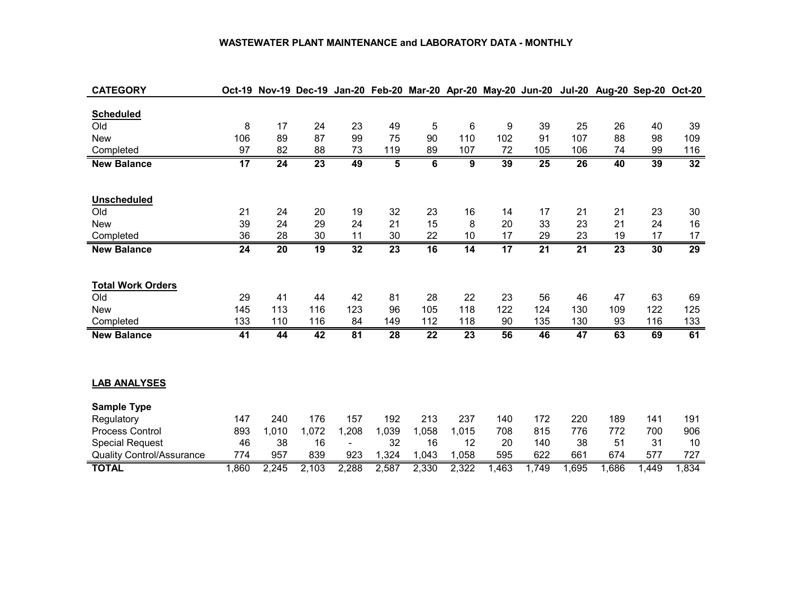#### **WASTEWATER PLANT MAINTENANCE and LABORATORY DATA - MONTHLY**

| <b>CATEGORY</b>                  |       |       | Oct-19 Nov-19 Dec-19 Jan-20 Feb-20 Mar-20 Apr-20 May-20 Jun-20 Jul-20 |                |       |                 |                 |                 |                 |                 |       | Aug-20 Sep-20 Oct-20 |                 |
|----------------------------------|-------|-------|-----------------------------------------------------------------------|----------------|-------|-----------------|-----------------|-----------------|-----------------|-----------------|-------|----------------------|-----------------|
|                                  |       |       |                                                                       |                |       |                 |                 |                 |                 |                 |       |                      |                 |
| <b>Scheduled</b>                 |       |       |                                                                       |                |       |                 |                 |                 |                 |                 |       |                      |                 |
| Old                              | 8     | 17    | 24                                                                    | 23             | 49    | 5               | 6               | 9               | 39              | 25              | 26    | 40                   | 39              |
| <b>New</b>                       | 106   | 89    | 87                                                                    | 99             | 75    | 90              | 110             | 102             | 91              | 107             | 88    | 98                   | 109             |
| Completed                        | 97    | 82    | 88                                                                    | 73             | 119   | 89              | 107             | 72              | 105             | 106             | 74    | 99                   | 116             |
| <b>New Balance</b>               | 17    | 24    | 23                                                                    | 49             | 5     | $\overline{6}$  | 9               | 39              | 25              | 26              | 40    | 39                   | 32              |
|                                  |       |       |                                                                       |                |       |                 |                 |                 |                 |                 |       |                      |                 |
|                                  |       |       |                                                                       |                |       |                 |                 |                 |                 |                 |       |                      |                 |
| <b>Unscheduled</b>               |       |       |                                                                       |                |       |                 |                 |                 |                 |                 |       |                      |                 |
| Old                              | 21    | 24    | 20                                                                    | 19             | 32    | 23              | 16              | 14              | 17              | 21              | 21    | 23                   | 30              |
| <b>New</b>                       | 39    | 24    | 29                                                                    | 24             | 21    | 15              | 8               | 20              | 33              | 23              | 21    | 24                   | 16              |
| Completed                        | 36    | 28    | 30                                                                    | 11             | 30    | 22              | 10              | 17              | 29              | 23              | 19    | 17                   | 17              |
| <b>New Balance</b>               | 24    | 20    | 19                                                                    | 32             | 23    | 16              | 14              | $\overline{17}$ | $\overline{21}$ | $\overline{21}$ | 23    | 30                   | $\overline{29}$ |
|                                  |       |       |                                                                       |                |       |                 |                 |                 |                 |                 |       |                      |                 |
| <b>Total Work Orders</b>         |       |       |                                                                       |                |       |                 |                 |                 |                 |                 |       |                      |                 |
| Old                              | 29    | 41    | 44                                                                    | 42             | 81    | 28              | 22              | 23              | 56              | 46              | 47    | 63                   | 69              |
| <b>New</b>                       | 145   | 113   | 116                                                                   | 123            | 96    | 105             | 118             | 122             | 124             | 130             | 109   | 122                  | 125             |
| Completed                        | 133   | 110   | 116                                                                   | 84             | 149   | 112             | 118             | 90              | 135             | 130             | 93    | 116                  | 133             |
|                                  |       |       |                                                                       |                |       |                 |                 |                 |                 |                 |       |                      | 61              |
| <b>New Balance</b>               | 41    | 44    | 42                                                                    | 81             | 28    | $\overline{22}$ | $\overline{23}$ | 56              | 46              | 47              | 63    | 69                   |                 |
|                                  |       |       |                                                                       |                |       |                 |                 |                 |                 |                 |       |                      |                 |
|                                  |       |       |                                                                       |                |       |                 |                 |                 |                 |                 |       |                      |                 |
| <b>LAB ANALYSES</b>              |       |       |                                                                       |                |       |                 |                 |                 |                 |                 |       |                      |                 |
| <b>Sample Type</b>               |       |       |                                                                       |                |       |                 |                 |                 |                 |                 |       |                      |                 |
| Regulatory                       | 147   | 240   | 176                                                                   | 157            | 192   | 213             | 237             | 140             | 172             | 220             | 189   | 141                  | 191             |
| <b>Process Control</b>           | 893   | 1,010 | 1,072                                                                 | 1,208          | 1,039 | 1,058           | 1,015           | 708             | 815             | 776             | 772   | 700                  | 906             |
| <b>Special Request</b>           | 46    | 38    | 16                                                                    | $\blacksquare$ | 32    | 16              | 12              | 20              | 140             | 38              | 51    | 31                   | 10              |
| <b>Quality Control/Assurance</b> | 774   | 957   | 839                                                                   | 923            | 1,324 | 1,043           | 1,058           | 595             | 622             | 661             | 674   | 577                  | 727             |
|                                  |       |       |                                                                       |                |       |                 |                 |                 |                 |                 |       |                      |                 |
| <b>TOTAL</b>                     | 1,860 | 2,245 | 2,103                                                                 | 2,288          | 2,587 | 2,330           | 2,322           | 1,463           | 1,749           | 1,695           | 1,686 | 1,449                | 1,834           |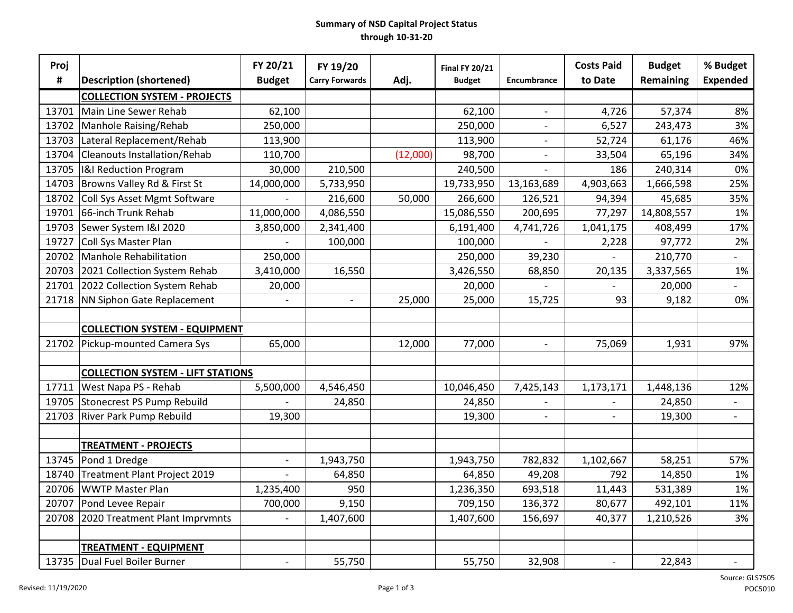#### **Summary of NSD Capital Project Status through 10-31-20**

| Proj  |                                          | FY 20/21                 | FY 19/20                 |          | <b>Final FY 20/21</b> |                          | <b>Costs Paid</b>        | <b>Budget</b> | % Budget                 |
|-------|------------------------------------------|--------------------------|--------------------------|----------|-----------------------|--------------------------|--------------------------|---------------|--------------------------|
| #     | <b>Description (shortened)</b>           | <b>Budget</b>            | <b>Carry Forwards</b>    | Adj.     | <b>Budget</b>         | Encumbrance              | to Date                  | Remaining     | <b>Expended</b>          |
|       | <b>COLLECTION SYSTEM - PROJECTS</b>      |                          |                          |          |                       |                          |                          |               |                          |
| 13701 | Main Line Sewer Rehab                    | 62,100                   |                          |          | 62,100                | $\overline{\phantom{a}}$ | 4,726                    | 57,374        | 8%                       |
| 13702 | Manhole Raising/Rehab                    | 250,000                  |                          |          | 250,000               | $\overline{\phantom{a}}$ | 6,527                    | 243,473       | 3%                       |
| 13703 | Lateral Replacement/Rehab                | 113,900                  |                          |          | 113,900               | $\blacksquare$           | 52,724                   | 61,176        | 46%                      |
| 13704 | <b>Cleanouts Installation/Rehab</b>      | 110,700                  |                          | (12,000) | 98,700                | $\blacksquare$           | 33,504                   | 65,196        | 34%                      |
| 13705 | <b>I&amp;I Reduction Program</b>         | 30,000                   | 210,500                  |          | 240,500               |                          | 186                      | 240,314       | 0%                       |
| 14703 | Browns Valley Rd & First St              | 14,000,000               | 5,733,950                |          | 19,733,950            | 13,163,689               | 4,903,663                | 1,666,598     | 25%                      |
| 18702 | Coll Sys Asset Mgmt Software             |                          | 216,600                  | 50,000   | 266,600               | 126,521                  | 94,394                   | 45,685        | 35%                      |
| 19701 | 66-inch Trunk Rehab                      | 11,000,000               | 4,086,550                |          | 15,086,550            | 200,695                  | 77,297                   | 14,808,557    | 1%                       |
| 19703 | Sewer System I&I 2020                    | 3,850,000                | 2,341,400                |          | 6,191,400             | 4,741,726                | 1,041,175                | 408,499       | 17%                      |
| 19727 | Coll Sys Master Plan                     |                          | 100,000                  |          | 100,000               |                          | 2,228                    | 97,772        | 2%                       |
| 20702 | <b>Manhole Rehabilitation</b>            | 250,000                  |                          |          | 250,000               | 39,230                   |                          | 210,770       | $\overline{\phantom{0}}$ |
| 20703 | 2021 Collection System Rehab             | 3,410,000                | 16,550                   |          | 3,426,550             | 68,850                   | 20,135                   | 3,337,565     | 1%                       |
| 21701 | 2022 Collection System Rehab             | 20,000                   |                          |          | 20,000                |                          |                          | 20,000        |                          |
| 21718 | NN Siphon Gate Replacement               |                          | $\overline{\phantom{a}}$ | 25,000   | 25,000                | 15,725                   | 93                       | 9,182         | 0%                       |
|       |                                          |                          |                          |          |                       |                          |                          |               |                          |
|       | <b>COLLECTION SYSTEM - EQUIPMENT</b>     |                          |                          |          |                       |                          |                          |               |                          |
| 21702 | Pickup-mounted Camera Sys                | 65,000                   |                          | 12,000   | 77,000                |                          | 75,069                   | 1,931         | 97%                      |
|       |                                          |                          |                          |          |                       |                          |                          |               |                          |
|       | <b>COLLECTION SYSTEM - LIFT STATIONS</b> |                          |                          |          |                       |                          |                          |               |                          |
| 17711 | West Napa PS - Rehab                     | 5,500,000                | 4,546,450                |          | 10,046,450            | 7,425,143                | 1,173,171                | 1,448,136     | 12%                      |
| 19705 | <b>Stonecrest PS Pump Rebuild</b>        |                          | 24,850                   |          | 24,850                | $\overline{\phantom{a}}$ | $\overline{a}$           | 24,850        | $\overline{\phantom{a}}$ |
| 21703 | River Park Pump Rebuild                  | 19,300                   |                          |          | 19,300                | $\overline{\phantom{a}}$ | $\overline{a}$           | 19,300        | $\overline{\phantom{a}}$ |
|       |                                          |                          |                          |          |                       |                          |                          |               |                          |
|       | <b>TREATMENT - PROJECTS</b>              |                          |                          |          |                       |                          |                          |               |                          |
| 13745 | Pond 1 Dredge                            |                          | 1,943,750                |          | 1,943,750             | 782,832                  | 1,102,667                | 58,251        | 57%                      |
| 18740 | <b>Treatment Plant Project 2019</b>      |                          | 64,850                   |          | 64,850                | 49,208                   | 792                      | 14,850        | 1%                       |
| 20706 | <b>WWTP Master Plan</b>                  | 1,235,400                | 950                      |          | 1,236,350             | 693,518                  | 11,443                   | 531,389       | 1%                       |
| 20707 | Pond Levee Repair                        | 700,000                  | 9,150                    |          | 709,150               | 136,372                  | 80,677                   | 492,101       | 11%                      |
| 20708 | 2020 Treatment Plant Imprvmnts           |                          | 1,407,600                |          | 1,407,600             | 156,697                  | 40,377                   | 1,210,526     | 3%                       |
|       |                                          |                          |                          |          |                       |                          |                          |               |                          |
|       | <b>TREATMENT - EQUIPMENT</b>             |                          |                          |          |                       |                          |                          |               |                          |
| 13735 | Dual Fuel Boiler Burner                  | $\overline{\phantom{a}}$ | 55,750                   |          | 55,750                | 32,908                   | $\overline{\phantom{a}}$ | 22,843        | $\overline{\phantom{a}}$ |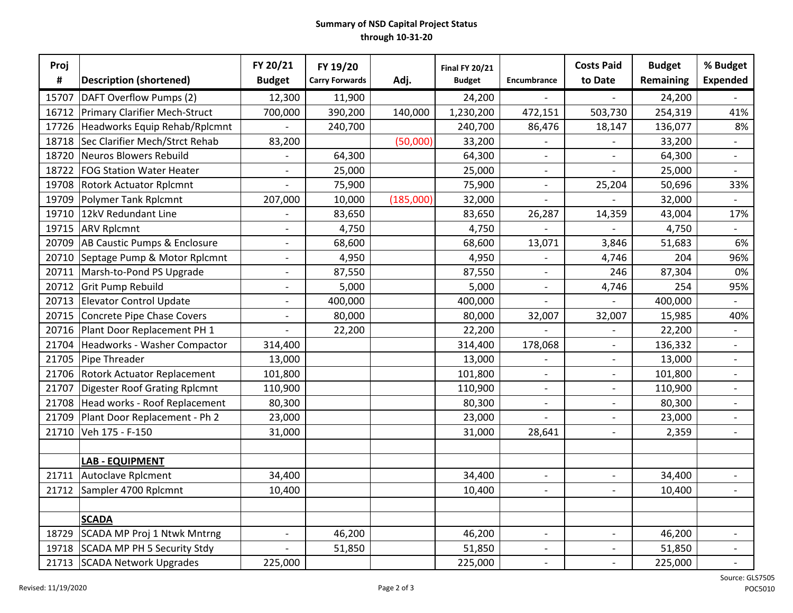#### **Summary of NSD Capital Project Status through 10-31-20**

| Proj  |                                      | FY 20/21                 | FY 19/20              |           | <b>Final FY 20/21</b> |                          | <b>Costs Paid</b>        | <b>Budget</b> | % Budget                 |
|-------|--------------------------------------|--------------------------|-----------------------|-----------|-----------------------|--------------------------|--------------------------|---------------|--------------------------|
| #     | <b>Description (shortened)</b>       | <b>Budget</b>            | <b>Carry Forwards</b> | Adj.      | <b>Budget</b>         | Encumbrance              | to Date                  | Remaining     | <b>Expended</b>          |
| 15707 | DAFT Overflow Pumps (2)              | 12,300                   | 11,900                |           | 24,200                |                          | $\overline{\phantom{0}}$ | 24,200        | $\overline{\phantom{a}}$ |
| 16712 | Primary Clarifier Mech-Struct        | 700,000                  | 390,200               | 140,000   | 1,230,200             | 472,151                  | 503,730                  | 254,319       | 41%                      |
| 17726 | Headworks Equip Rehab/Rplcmnt        |                          | 240,700               |           | 240,700               | 86,476                   | 18,147                   | 136,077       | 8%                       |
| 18718 | Sec Clarifier Mech/Strct Rehab       | 83,200                   |                       | (50,000)  | 33,200                |                          |                          | 33,200        |                          |
| 18720 | Neuros Blowers Rebuild               |                          | 64,300                |           | 64,300                | $\overline{\phantom{a}}$ |                          | 64,300        | $\overline{\phantom{a}}$ |
| 18722 | <b>FOG Station Water Heater</b>      |                          | 25,000                |           | 25,000                |                          |                          | 25,000        |                          |
| 19708 | <b>Rotork Actuator Rplcmnt</b>       |                          | 75,900                |           | 75,900                | $\overline{a}$           | 25,204                   | 50,696        | 33%                      |
| 19709 | Polymer Tank Rplcmnt                 | 207,000                  | 10,000                | (185,000) | 32,000                |                          |                          | 32,000        |                          |
| 19710 | 12kV Redundant Line                  |                          | 83,650                |           | 83,650                | 26,287                   | 14,359                   | 43,004        | 17%                      |
| 19715 | <b>ARV Rplcmnt</b>                   | $\overline{\phantom{a}}$ | 4,750                 |           | 4,750                 |                          |                          | 4,750         | $\overline{\phantom{a}}$ |
| 20709 | AB Caustic Pumps & Enclosure         | $\blacksquare$           | 68,600                |           | 68,600                | 13,071                   | 3,846                    | 51,683        | 6%                       |
| 20710 | Septage Pump & Motor Rplcmnt         | $\overline{\phantom{a}}$ | 4,950                 |           | 4,950                 |                          | 4,746                    | 204           | 96%                      |
| 20711 | Marsh-to-Pond PS Upgrade             | $\blacksquare$           | 87,550                |           | 87,550                | $\blacksquare$           | 246                      | 87,304        | 0%                       |
| 20712 | Grit Pump Rebuild                    | $\overline{\phantom{a}}$ | 5,000                 |           | 5,000                 |                          | 4,746                    | 254           | 95%                      |
| 20713 | <b>Elevator Control Update</b>       | $\overline{\phantom{a}}$ | 400,000               |           | 400,000               |                          |                          | 400,000       |                          |
| 20715 | Concrete Pipe Chase Covers           | $\overline{\phantom{a}}$ | 80,000                |           | 80,000                | 32,007                   | 32,007                   | 15,985        | 40%                      |
| 20716 | Plant Door Replacement PH 1          |                          | 22,200                |           | 22,200                |                          |                          | 22,200        | $\overline{\phantom{a}}$ |
| 21704 | Headworks - Washer Compactor         | 314,400                  |                       |           | 314,400               | 178,068                  |                          | 136,332       | $\blacksquare$           |
| 21705 | Pipe Threader                        | 13,000                   |                       |           | 13,000                |                          | $\overline{\phantom{0}}$ | 13,000        | $\overline{\phantom{a}}$ |
| 21706 | <b>Rotork Actuator Replacement</b>   | 101,800                  |                       |           | 101,800               | $\qquad \qquad -$        | $\overline{\phantom{0}}$ | 101,800       | $\overline{\phantom{a}}$ |
| 21707 | <b>Digester Roof Grating Rplcmnt</b> | 110,900                  |                       |           | 110,900               | $\overline{\phantom{a}}$ | $\overline{\phantom{0}}$ | 110,900       | $\overline{\phantom{a}}$ |
| 21708 | Head works - Roof Replacement        | 80,300                   |                       |           | 80,300                | $\overline{\phantom{a}}$ | $\overline{\phantom{0}}$ | 80,300        | $\overline{\phantom{a}}$ |
| 21709 | Plant Door Replacement - Ph 2        | 23,000                   |                       |           | 23,000                | $\blacksquare$           | $\overline{\phantom{0}}$ | 23,000        | $\overline{\phantom{a}}$ |
| 21710 | Veh 175 - F-150                      | 31,000                   |                       |           | 31,000                | 28,641                   | $\overline{\phantom{0}}$ | 2,359         |                          |
|       |                                      |                          |                       |           |                       |                          |                          |               |                          |
|       | <b>LAB - EQUIPMENT</b>               |                          |                       |           |                       |                          |                          |               |                          |
| 21711 | Autoclave Rplcment                   | 34,400                   |                       |           | 34,400                | $\overline{\phantom{a}}$ | $\overline{a}$           | 34,400        |                          |
| 21712 | Sampler 4700 Rplcmnt                 | 10,400                   |                       |           | 10,400                | $\overline{\phantom{a}}$ | $\overline{\phantom{a}}$ | 10,400        |                          |
|       |                                      |                          |                       |           |                       |                          |                          |               |                          |
|       | <b>SCADA</b>                         |                          |                       |           |                       |                          |                          |               |                          |
| 18729 | SCADA MP Proj 1 Ntwk Mntrng          | $\sim$                   | 46,200                |           | 46,200                | $\blacksquare$           | $\overline{\phantom{a}}$ | 46,200        | $\overline{\phantom{a}}$ |
| 19718 | SCADA MP PH 5 Security Stdy          |                          | 51,850                |           | 51,850                | $\overline{\phantom{a}}$ | $\overline{\phantom{0}}$ | 51,850        | $\overline{\phantom{a}}$ |
| 21713 | SCADA Network Upgrades               | 225,000                  |                       |           | 225,000               | $\sim$                   | $\overline{\phantom{a}}$ | 225,000       |                          |